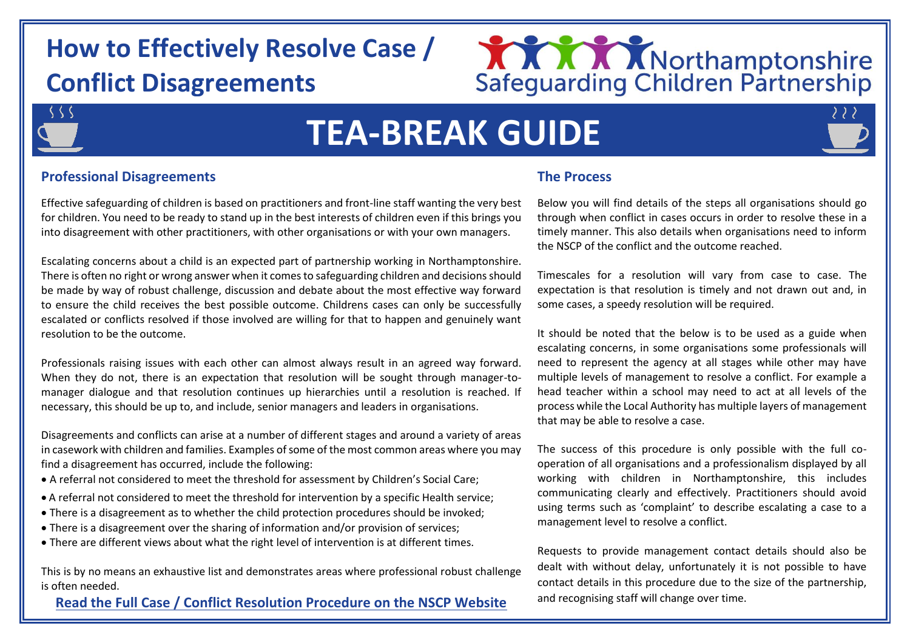# **How to Effectively Resolve Case / Conflict Disagreements**



# ς ς ς

# **TEA-BREAK GUIDE**



# **Professional Disagreements**

Effective safeguarding of children is based on practitioners and front-line staff wanting the very best for children. You need to be ready to stand up in the best interests of children even if this brings you into disagreement with other practitioners, with other organisations or with your own managers.

Escalating concerns about a child is an expected part of partnership working in Northamptonshire. There is often no right or wrong answer when it comes to safeguarding children and decisions should be made by way of robust challenge, discussion and debate about the most effective way forward to ensure the child receives the best possible outcome. Childrens cases can only be successfully escalated or conflicts resolved if those involved are willing for that to happen and genuinely want resolution to be the outcome.

Professionals raising issues with each other can almost always result in an agreed way forward. When they do not, there is an expectation that resolution will be sought through manager-tomanager dialogue and that resolution continues up hierarchies until a resolution is reached. If necessary, this should be up to, and include, senior managers and leaders in organisations.

Disagreements and conflicts can arise at a number of different stages and around a variety of areas in casework with children and families. Examples of some of the most common areas where you may find a disagreement has occurred, include the following:

- A referral not considered to meet the threshold for assessment by Children's Social Care;
- A referral not considered to meet the threshold for intervention by a specific Health service;
- There is a disagreement as to whether the child protection procedures should be invoked;
- There is a disagreement over the sharing of information and/or provision of services;
- There are different views about what the right level of intervention is at different times.

This is by no means an exhaustive list and demonstrates areas where professional robust challenge is often needed.

# **[Read the Full Case / Conflict Resolution Procedure on the NSCP Website](http://www.northamptonshirescb.org.uk/about-northamptonshire-safeguarding-children-partnership/policies/case-conflict-resolution-protocol/)**

# **The Process**

Below you will find details of the steps all organisations should go through when conflict in cases occurs in order to resolve these in a timely manner. This also details when organisations need to inform the NSCP of the conflict and the outcome reached.

Timescales for a resolution will vary from case to case. The expectation is that resolution is timely and not drawn out and, in some cases, a speedy resolution will be required.

It should be noted that the below is to be used as a guide when escalating concerns, in some organisations some professionals will need to represent the agency at all stages while other may have multiple levels of management to resolve a conflict. For example a head teacher within a school may need to act at all levels of the process while the Local Authority has multiple layers of management that may be able to resolve a case.

The success of this procedure is only possible with the full cooperation of all organisations and a professionalism displayed by all working with children in Northamptonshire, this includes communicating clearly and effectively. Practitioners should avoid using terms such as 'complaint' to describe escalating a case to a management level to resolve a conflict.

Requests to provide management contact details should also be dealt with without delay, unfortunately it is not possible to have contact details in this procedure due to the size of the partnership, and recognising staff will change over time.